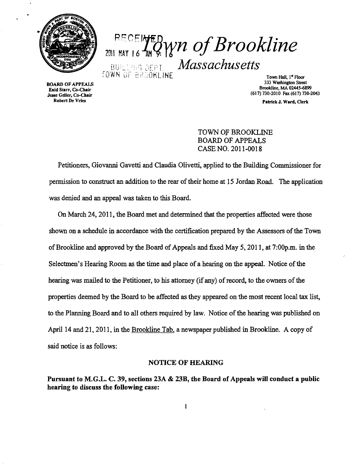

# RECEINED WN of Brookline *Massachusetts*

us Scart, Co-Chair<br>Sec Geller, Co-Chair<br>Robert De Vries Journal of The Co-Chair Patrick J Ward Clerk

Town Hall, 1<sup>st</sup> Floor<br>333 Washington Street 333 Washington Street BOARD OF APPEALS<br>
and the street BOARD OF APPEALS Brookline, MA 02445-6899<br>
Lesse Geller, Co-Chair<br>
Jesse Geller, Co-Chair<br>
(617) 730-2010 Fax (617) 730-2

Patrick J. Ward, Cierk

TOWN Of BROOKLINE BOARD OF APPEALS CASE NO. 2011-0018

Petitioners, Giovanni Gavetti and Claudia Olivetti, applied to the Building Commissioner for permission to construct an addition to the rear of their home at 15 Jordan Road. The application was denied and an appeal was taken to this Board.

On March 24,2011, the Board met and determined that the properties affected were those shown on a schedule in accordance with the certification prepared by the Assessors of the Town of Brookline and approved by the Board of Appeals and fixed May 5, 2011, at 7:00p.m. in the Selectmen's Hearing Room as the time and place of a hearing on the appeal. Notice of the hearing was mailed to the Petitioner, to his attorney (if any) of record, to the owners of the properties deemed by the Board to be affected as they appeared on the most recent local tax list, to the Planning Board and to all others required by law. Notice of the hearing was published on April 14 and 21, 20II, in the Brookline Tab, a newspaper published in Brookline. A copy of said notice is as follows:

### NOTICE OF HEARING

Pursuant to M.G.L. C. 39, sections 23A & 23B, the Board of Appeals will conduct a public hearing to discuss the following case: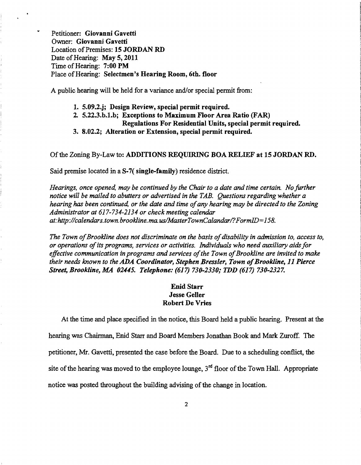Petitioner: Giovanni Gavetti Owner: Giovanni Gavetti Location of Premises: 15 JORDAN RD Date of Hearing: May 5, 2011 Time of Hearing: 7:00 PM Place of Hearing: Selectmen's Hearing Room, 6th. floor

A public hearing will be held for a variance and/or special permit from:

- 1. 5.09.2.j; Design Review, special permit required.
- 2. 5.22.3.b.1.b; Exceptions to Maximum Floor Area Ratio (FAR)
	- Regulations For Residential Units, special permit required.
- 3. 8.02.2; Alteration or Extension, special permit required.

### Of the Zoning By-Law to: ADDITIONS REQUIRING BOA RELIEF at 15 JORDAN RD.

Said premise located in a S-7( single-family) residence district.

*Hearings, once opened, may be continued by the Chair to a date and time certain. No further notice will be mailed to abutters or advertised in the TAB. Questions regarding whether a hearing has been continued, or the date and time of any hearing may be directed to the Zoning Administrator at* 617-734-2134 *or check meeting calendar at:http://calendars.town.brookline.ma.usIMasterTownCalandarl?FormID=158.* 

The Town of Brookline does not discriminate on the basis of disability in admission to, access to, *or operations ofits programs, services or activities. Individuals who need auxiliary aids for*  effective communication in programs and services of the Town of Brookline are invited to make *their needs known to the* ADA *Coordinator, Stephen Bressler, Town ofBrookline,* 11 *Pierce Street, Brookline, MA 02445. Telephone:* (617) *730-2330,. TDD* (617) *730-2327.* 

# Enid Starr Jesse Geller Robert De Vries

At the time and place specified in the notice, this Board held a public hearing. Present at the hearing was Chairman, Enid Starr and Board Members Jonathan Book and Mark Zuroff. The petitioner, Mr. Gavetti, presented the case before the Board. Due to a scheduling conflict, the site of the hearing was moved to the employee lounge,  $3<sup>rd</sup>$  floor of the Town Hall. Appropriate notice was posted throughout the building advising of the change in location.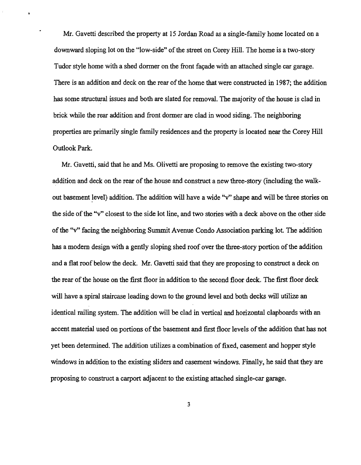Mr. Gavetti described the property at 15 Jordan Road as a single-family home located on a downward sloping lot on the "low-side" of the street on Corey Hill. The home is a two-story Tudor style home with a shed dormer on the front facade with an attached single car garage. There is an addition and deck on the rear of the home that were constructed in 1987; the addition has some structural issues and both are slated for removal. The majority of the house is clad in brick while the rear addition and front dormer are clad in wood siding. The neighboring properties are primarily single family residences and the property is located near the Corey Hill Outlook Park.

Mr. Gavetti, said that he and Ms. Olivetti are proposing to remove the existing two-story addition and deck on the rear of the house and construct a new three-story (including the walkout basement level) addition. The addition will have a wide "v" shape and will be three stories on the side of the "v" closest to the side lot line, and two stories with a deck above on the other side ofthe ''v'' facing the neighboring Summit Avenue Condo Association parking lot. The addition has a modern design with a gently sloping shed roof over the three-story portion of the addition and a flat roof below the deck. Mr. Gavetti said that they are proposing to construct a deck on the rear of the house on the first floor in addition to the second floor deck. The first floor deck will have a spiral staircase leading down to the ground level and both decks will utilize an identical railing system. The addition will be clad in vertical and horizontal clapboards with an accent material used on portions of the basement and first floor levels of the addition that has not yet been determined. The addition utilizes a combination offixed, casement and hopper style windows in addition to the existing sliders and casement windows. Finally, he said that they are proposing to construct a carport adjacent to the existing attached single-car garage.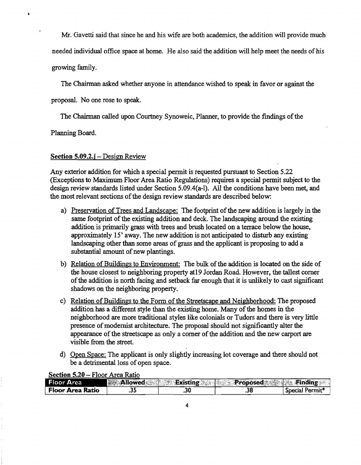Mr. Gavetti said that since he and his wife are both academics, the addition will provide much

needed individual office space at home. He also said the addition will help meet the needs ofhis

growing family.

The Chairman asked whether anyone in attendance wished to speak in favor or against the

proposal. No one rose to speak.

The Chairman called upon Courtney Synoweic, Planner, to provide the findings ofthe

Planning Board.

## Section  $5.09.2$ .j – Design Review

Any exterior addition for which a special permit is requested pursuant to Section 5.22 (Exceptions to Maximum Floor Area Ratio Regulations) requires a special permit subject to the design review standards listed under Section 5.09.4(a-I). All the conditions have been met, and the most relevant sections of the design review standards are described below:

- a) Preservation of Trees and Landscape: The footprint of the new addition is largely in the same footprint of the existing addition and deck. The landscaping around the existing addition is primarily grass with trees and brush located on a terrace below the house, approximately 15' away. The new addition is not anticipated to disturb any existing landscaping other than some areas of grass and the applicant is proposing to add a substantial amount of new plantings.
- b) Relation of Buildings to Environment: The bulk of the addition is located on the side of the house closest to neighboring property at19 Jordan Road. However, the tallest comer ofthe addition is north facing and setback far enough that it is unlikely to cast significant shadows on the neighboring property.
- c) Relation of Buildings to the Form of the Streetscape and Neighborhood: The proposed addition has a different style than the existing home. Many of the homes in the neighborhood are more traditional styles like colonials or Tudors and there is very little presence of modernist architecture. The proposal should not significantly alter the appearance of the streetscape as only a corner of the addition and the new carport are visible from the street.
- d) Open Space: The applicant is only slightly increasing lot coverage and there should not be a detrimental loss of open space.

| Floor Area              | <b>Allowed</b> | <b>Change</b><br><b>Existing</b> | استحادتنا<br><b>Proposed</b> | a mendia tit<br>$\frac{1}{2}$ Finding<br>311.0 |
|-------------------------|----------------|----------------------------------|------------------------------|------------------------------------------------|
| <b>Floor Area Ratio</b> |                | ں د.                             | .38                          | Permit <sup>+</sup><br><b>Special</b>          |

## Section 5.20 - Floor Area Ratio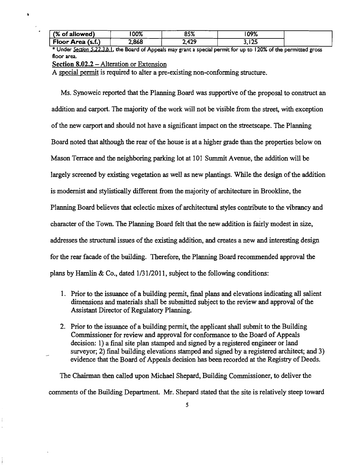| (% of allowed)    | nn%<br>70/6 | <b>OF O</b><br>0970 | שמחו<br>1 V 7 / 0 |  |
|-------------------|-------------|---------------------|-------------------|--|
| Floor Area (s.f.) | .868        | れつこ<br>-----        | $\sim$<br>---     |  |

\* Under *Section 5.22.3,b.* I. the Board of Appeals may grant a special permit for up to 120% of the permitted gross floor area.

Section 8.02.2 - Alteration or Extension

 $\blacksquare$ 

A special permit is required to alter a pre-existing non-conforming structure.

Ms. Synoweic reported that the Planning Board was supportive of the proposal to construct an addition and carport. The majority of the work will not be visible from the street, with exception ofthe new carport and should not have a significant impact on the streetscape. The Planning Board noted that although the rear of the house is at a higher grade than the properties below on Mason Terrace and the neighboring parking lot at 101 Summit Avenue, the addition will be largely screened by existing vegetation as well as new plantings. While the design of the addition is modernist and stylistically different from the majority of architecture in Brookline, the Planning Board believes that eclectic mixes of architectural styles contribute to the vibrancy and character of the Town. The Planning Board felt that the new addition is fairly modest in size, addresses the structural issues of the existing addition, and creates a new and interesting design for the rear facade of the building. Therefore, the Planning Board recommended approval the plans by Hamlin & Co., dated 1/31/2011, subject to the following conditions:

- 1. Prior to the issuance of a building permit, final plans and elevations indicating all salient dimensions and materials shall be submitted subject to the review and approval of the Assistant Director of Regulatory Planning.
- 2. Prior to the issuance of a building permit, the applicant shall submit to the Building Commissioner for review and approval for conformance to the Board of Appeals decision: 1) a final site plan stamped and signed by a registered engineer or land surveyor; 2) final building elevations stamped and signed by a registered architect; and 3) evidence that the Board of Appeals decision has been recorded at the Registry of Deeds.

The Chairman then called upon Michael Shepard, Building Commissioner, to deliver the comments of the Building Department. Mr. Shepard stated that the site is relatively steep toward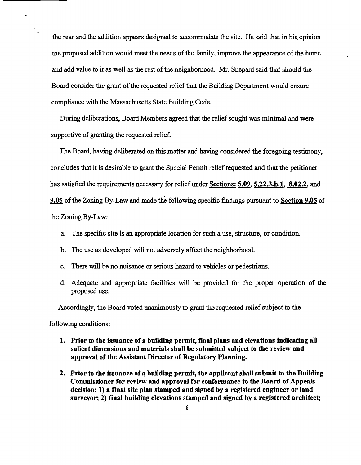the rear and the addition appears designed to accommodate the site. He said that in his opinion the proposed addition would meet the needs of the family, improve the appearance of the home and add value to it as well as the rest of the neighborhood. Mr. Shepard said that should the Board consider the grant of the requested relief that the Building Department would ensure compliance with the Massachusetts State Building Code.

During deliberations, Board Members agreed that the relief sought was minimal and were supportive of granting the requested relief.

The Board, having deliberated on this matter and having considered the foregoing testimony, concludes that it is desirable to grant the Special Permit relief requested and that the petitioner has satisfied the requirements necessary for relief under Sections: 5.09, 5.22.3.b.1, 8.02.2, and 9.05 of the Zoning By-Law and made the following specific findings pursuant to Section 9.05 of the Zoning By-Law:

- a. The specific site is an appropriate location for such a use, structure, or condition.
- b. The use as developed will not adversely affect the neighborhood.
- c. There will be no nuisance or serious hazard to vehicles or pedestrians.
- d. Adequate and appropriate facilities will be provided for the proper operation of the proposed use.

Accordingly, the Board voted unanimously to grant the requested relief subject to the

following conditions:

k

- 1. Prior to the issuance of a building permit, final plans and elevations indicating all salient dimensions and materials shall be submitted subject to the review and approval of the Assistant Director of Regulatory Planning.
- 2. Prior to the issuance of a building permit, the applicant shall submit to the Building Commissioner for review and approval for conformance to the Board of Appeals decision: 1) a final site plan stamped and signed by a registered engineer or land surveyor; 2) final building elevations stamped and signed by a registered architect;